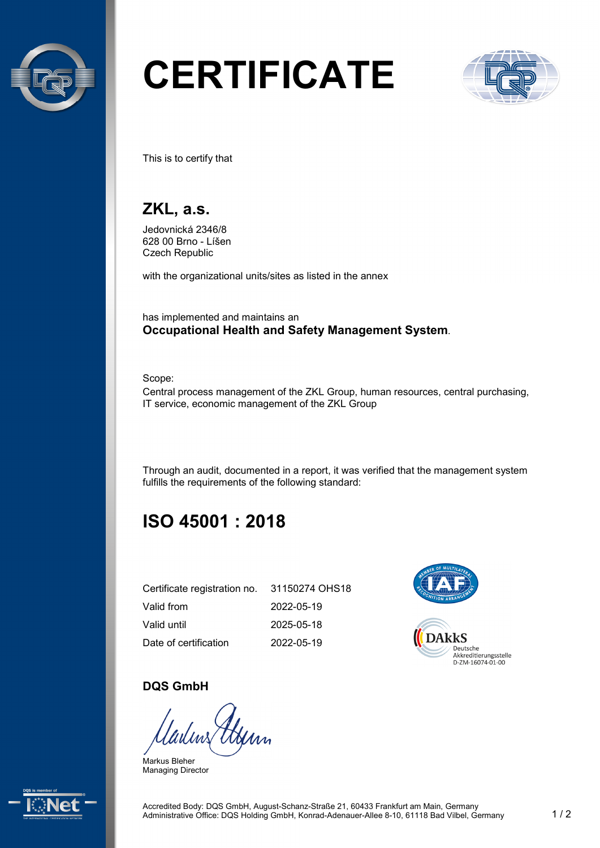

# **CERTIFICATE**



This is to certify that

# **ZKL, a.s.**

Jedovnická 2346/8 628 00 Brno - Líšen Czech Republic

with the organizational units/sites as listed in the annex

has implemented and maintains an **Occupational Health and Safety Management System**.

Scope:

Central process management of the ZKL Group, human resources, central purchasing, IT service, economic management of the ZKL Group

Through an audit, documented in a report, it was verified that the management system fulfills the requirements of the following standard:

# **ISO 45001 : 2018**

| Certificate registration no. | 31150274 OHS18 |
|------------------------------|----------------|
| Valid from                   | 2022-05-19     |
| Valid until                  | 2025-05-18     |
| Date of certification        | 2022-05-19     |



#### **DQS GmbH**

Markus Bleher Managing Director